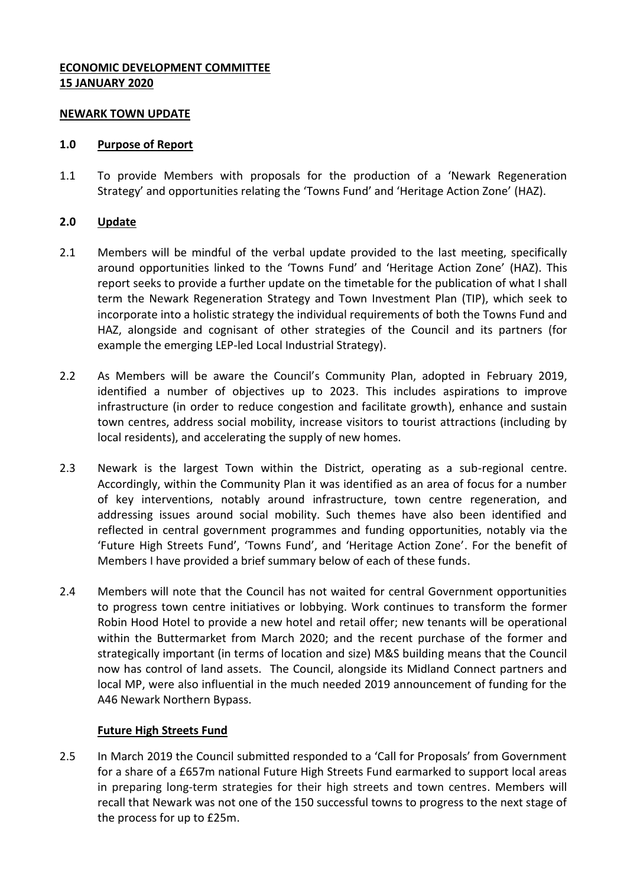## **ECONOMIC DEVELOPMENT COMMITTEE 15 JANUARY 2020**

#### **NEWARK TOWN UPDATE**

#### **1.0 Purpose of Report**

1.1 To provide Members with proposals for the production of a 'Newark Regeneration Strategy' and opportunities relating the 'Towns Fund' and 'Heritage Action Zone' (HAZ).

## **2.0 Update**

- 2.1 Members will be mindful of the verbal update provided to the last meeting, specifically around opportunities linked to the 'Towns Fund' and 'Heritage Action Zone' (HAZ). This report seeks to provide a further update on the timetable for the publication of what I shall term the Newark Regeneration Strategy and Town Investment Plan (TIP), which seek to incorporate into a holistic strategy the individual requirements of both the Towns Fund and HAZ, alongside and cognisant of other strategies of the Council and its partners (for example the emerging LEP-led Local Industrial Strategy).
- 2.2 As Members will be aware the Council's Community Plan, adopted in February 2019, identified a number of objectives up to 2023. This includes aspirations to improve infrastructure (in order to reduce congestion and facilitate growth), enhance and sustain town centres, address social mobility, increase visitors to tourist attractions (including by local residents), and accelerating the supply of new homes.
- 2.3 Newark is the largest Town within the District, operating as a sub-regional centre. Accordingly, within the Community Plan it was identified as an area of focus for a number of key interventions, notably around infrastructure, town centre regeneration, and addressing issues around social mobility. Such themes have also been identified and reflected in central government programmes and funding opportunities, notably via the 'Future High Streets Fund', 'Towns Fund', and 'Heritage Action Zone'. For the benefit of Members I have provided a brief summary below of each of these funds.
- 2.4 Members will note that the Council has not waited for central Government opportunities to progress town centre initiatives or lobbying. Work continues to transform the former Robin Hood Hotel to provide a new hotel and retail offer; new tenants will be operational within the Buttermarket from March 2020; and the recent purchase of the former and strategically important (in terms of location and size) M&S building means that the Council now has control of land assets. The Council, alongside its Midland Connect partners and local MP, were also influential in the much needed 2019 announcement of funding for the A46 Newark Northern Bypass.

## **Future High Streets Fund**

2.5 In March 2019 the Council submitted responded to a 'Call for Proposals' from Government for a share of a £657m national Future High Streets Fund earmarked to support local areas in preparing long-term strategies for their high streets and town centres. Members will recall that Newark was not one of the 150 successful towns to progress to the next stage of the process for up to £25m.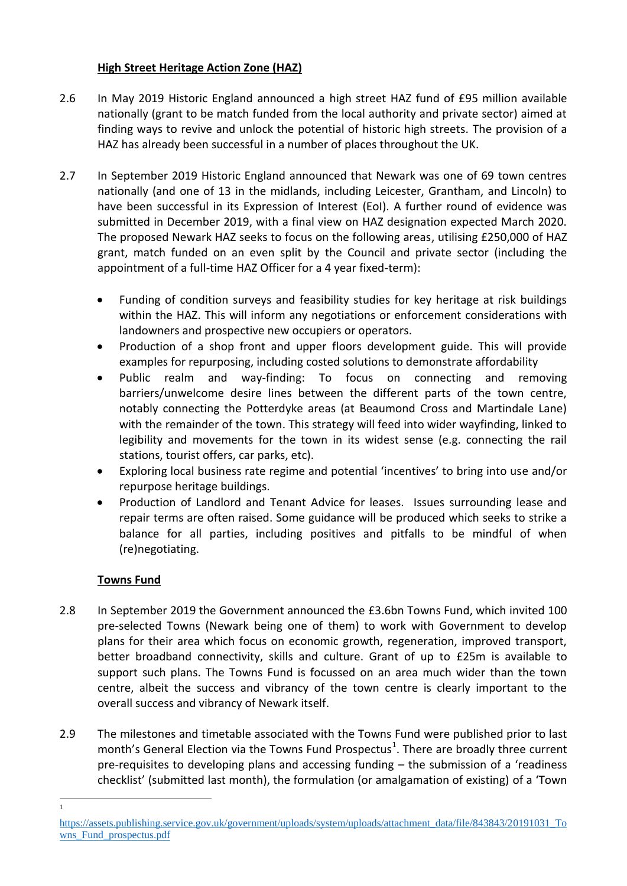# **High Street Heritage Action Zone (HAZ)**

- 2.6 In May 2019 Historic England announced a high street HAZ fund of £95 million available nationally (grant to be match funded from the local authority and private sector) aimed at finding ways to revive and unlock the potential of historic high streets. The provision of a HAZ has already been successful in a number of places throughout the UK.
- 2.7 In September 2019 Historic England announced that Newark was one of 69 town centres nationally (and one of 13 in the midlands, including Leicester, Grantham, and Lincoln) to have been successful in its Expression of Interest (EoI). A further round of evidence was submitted in December 2019, with a final view on HAZ designation expected March 2020. The proposed Newark HAZ seeks to focus on the following areas, utilising £250,000 of HAZ grant, match funded on an even split by the Council and private sector (including the appointment of a full-time HAZ Officer for a 4 year fixed-term):
	- Funding of condition surveys and feasibility studies for key heritage at risk buildings within the HAZ. This will inform any negotiations or enforcement considerations with landowners and prospective new occupiers or operators.
	- Production of a shop front and upper floors development guide. This will provide examples for repurposing, including costed solutions to demonstrate affordability
	- Public realm and way-finding: To focus on connecting and removing barriers/unwelcome desire lines between the different parts of the town centre, notably connecting the Potterdyke areas (at Beaumond Cross and Martindale Lane) with the remainder of the town. This strategy will feed into wider wayfinding, linked to legibility and movements for the town in its widest sense (e.g. connecting the rail stations, tourist offers, car parks, etc).
	- Exploring local business rate regime and potential 'incentives' to bring into use and/or repurpose heritage buildings.
	- Production of Landlord and Tenant Advice for leases. Issues surrounding lease and repair terms are often raised. Some guidance will be produced which seeks to strike a balance for all parties, including positives and pitfalls to be mindful of when (re)negotiating.

# **Towns Fund**

1 1

- 2.8 In September 2019 the Government announced the £3.6bn Towns Fund, which invited 100 pre-selected Towns (Newark being one of them) to work with Government to develop plans for their area which focus on economic growth, regeneration, improved transport, better broadband connectivity, skills and culture. Grant of up to £25m is available to support such plans. The Towns Fund is focussed on an area much wider than the town centre, albeit the success and vibrancy of the town centre is clearly important to the overall success and vibrancy of Newark itself.
- 2.9 The milestones and timetable associated with the Towns Fund were published prior to last month's General Election via the Towns Fund Prospectus<sup>1</sup>. There are broadly three current pre-requisites to developing plans and accessing funding – the submission of a 'readiness checklist' (submitted last month), the formulation (or amalgamation of existing) of a 'Town

[https://assets.publishing.service.gov.uk/government/uploads/system/uploads/attachment\\_data/file/843843/20191031\\_To](https://assets.publishing.service.gov.uk/government/uploads/system/uploads/attachment_data/file/843843/20191031_Towns_Fund_prospectus.pdf) wns Fund prospectus.pdf